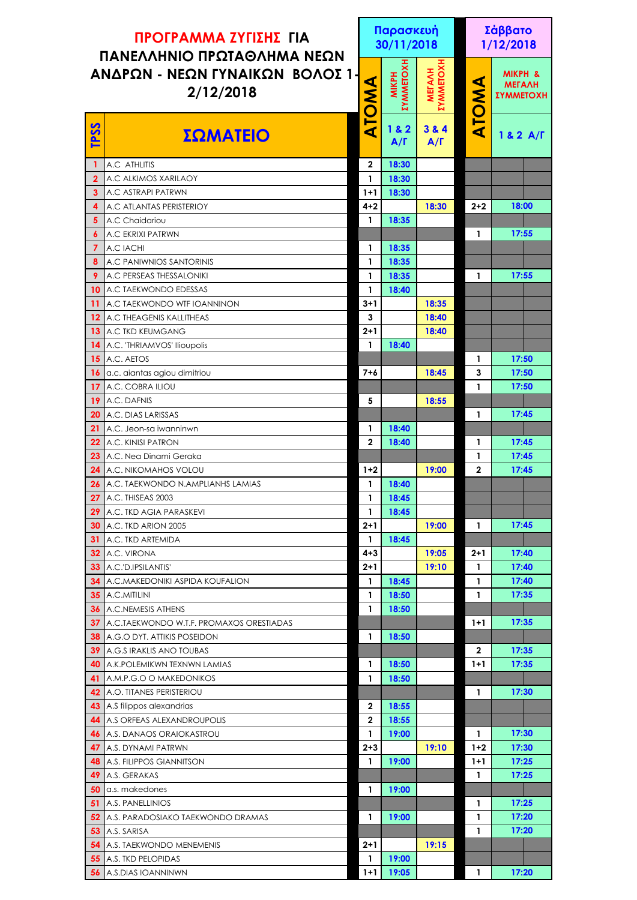| ΠΡΟΓΡΑΜΜΑ ΖΥΓΙΣΗΣ ΓΙΑ<br>ΠΑΝΕΛΛΗΝΙΟ ΠΡΩΤΑΘΛΗΜΑ ΝΕΩΝ |                                                 |                  | Παρασκευή<br>30/11/2018                 |                                         |              | Σάββατο<br>1/12/2018                                    |  |  |
|-----------------------------------------------------|-------------------------------------------------|------------------|-----------------------------------------|-----------------------------------------|--------------|---------------------------------------------------------|--|--|
| ΑΝΔΡΩΝ - ΝΕΩΝ ΓΥΝΑΙΚΩΝ ΒΟΛΟΣ 1-<br>2/12/2018        |                                                 | ATOMA            | <b><i>EYMMETOXH</i></b><br><b>MIKPH</b> | <b><i>EYMMETOX</i></b><br><b>METAAH</b> | ATOMA        | <b>MIKPH &amp;</b><br><b>МЕГАЛН</b><br><b>ΣΥΜΜΕΤΟΧΗ</b> |  |  |
| <b>TPSS</b>                                         | ΣΩΜΑΤΕΙΟ                                        |                  | 1 & 2<br>$A/\Gamma$                     | 3 & 4<br>$A/\Gamma$                     |              | 182 A/F                                                 |  |  |
| 1                                                   | A.C ATHLITIS                                    | $\boldsymbol{2}$ | 18:30                                   |                                         |              |                                                         |  |  |
| 2 <sup>1</sup>                                      | A.C ALKIMOS XARILAOY                            | 1                | 18:30                                   |                                         |              |                                                         |  |  |
| 3 <sup>1</sup>                                      | A.C ASTRAPI PATRWN                              | $1+1$            | 18:30                                   |                                         |              |                                                         |  |  |
| 4                                                   | A.C ATLANTAS PERISTERIOY                        | $4 + 2$          |                                         | 18:30                                   | $2 + 2$      | 18:00                                                   |  |  |
| 5 <sup>5</sup>                                      | A.C Chaidariou                                  | 1                | 18:35                                   |                                         |              |                                                         |  |  |
| $\boldsymbol{6}$                                    | <b>A.C EKRIXI PATRWN</b>                        |                  |                                         |                                         | 1            | 17:55                                                   |  |  |
| $\overline{7}$                                      | A.C IACHI                                       | 1                | 18:35                                   |                                         |              |                                                         |  |  |
| 8                                                   | A.C PANIWNIOS SANTORINIS                        | 1                | 18:35                                   |                                         |              |                                                         |  |  |
| 9                                                   | A.C PERSEAS THESSALONIKI                        | $\mathbf{1}$     | 18:35                                   |                                         | 1            | 17:55                                                   |  |  |
| 10 <sup>°</sup>                                     | A.C TAEKWONDO EDESSAS                           | $\mathbf{1}$     | 18:40                                   |                                         |              |                                                         |  |  |
| 11                                                  | A.C TAEKWONDO WTF IOANNINON                     | $3 + 1$          |                                         | 18:35                                   |              |                                                         |  |  |
| 12 <sup>°</sup>                                     | A.C THEAGENIS KALLITHEAS                        | $\mathbf{3}$     |                                         | 18:40                                   |              |                                                         |  |  |
|                                                     | <b>13</b> A.C TKD KEUMGANG                      | $2 + 1$          |                                         | 18:40                                   |              |                                                         |  |  |
|                                                     | 14 A.C. THRIAMVOS' Ilioupolis                   | 1                | 18:40                                   |                                         |              |                                                         |  |  |
| 15 <sub>1</sub>                                     | A.C. AETOS                                      |                  |                                         |                                         | $\mathbf{1}$ | 17:50                                                   |  |  |
| 16                                                  | a.c. aiantas agiou dimitriou                    | $7 + 6$          |                                         | 18:45                                   | 3            | 17:50                                                   |  |  |
| 17                                                  | A.C. COBRA ILIOU                                |                  |                                         |                                         | 1            | 17:50                                                   |  |  |
| 19 <sup>°</sup>                                     | A.C. DAFNIS                                     | 5                |                                         | 18:55                                   |              |                                                         |  |  |
| 20                                                  | A.C. DIAS LARISSAS                              |                  |                                         |                                         | $\mathbf{1}$ | 17:45                                                   |  |  |
| 21                                                  | A.C. Jeon-sa iwanninwn                          | 1                | 18:40                                   |                                         |              |                                                         |  |  |
| 22 <sub>2</sub>                                     | A.C. KINISI PATRON                              | $\boldsymbol{2}$ | 18:40                                   |                                         | 1            | 17:45                                                   |  |  |
| 23 <sub>2</sub>                                     | A.C. Nea Dinami Geraka                          |                  |                                         |                                         | 1            | 17:45                                                   |  |  |
| 24                                                  | A.C. NIKOMAHOS VOLOU                            | $1+2$            |                                         | 19:00                                   | $\mathbf{2}$ | 17:45                                                   |  |  |
|                                                     | 26 A.C. TAEKWONDO N.AMPLIANHS LAMIAS            | 1                | 18:40                                   |                                         |              |                                                         |  |  |
| 27                                                  | A.C. THISEAS 2003                               | 1                | 18:45                                   |                                         |              |                                                         |  |  |
| 29                                                  | A.C. TKD AGIA PARASKEVI                         | $\mathbf{1}$     | 18:45                                   |                                         |              |                                                         |  |  |
| 30                                                  | A.C. TKD ARION 2005                             | $2 + 1$          |                                         | 19:00                                   | $\mathbf{1}$ | 17:45                                                   |  |  |
| 31                                                  | A.C. TKD ARTEMIDA                               | $\mathbf{1}$     | 18:45                                   |                                         |              |                                                         |  |  |
|                                                     | A.C. VIRONA                                     | $4 + 3$          |                                         |                                         |              | 17:40                                                   |  |  |
| 32 <sub>2</sub>                                     |                                                 |                  |                                         | 19:05                                   | $2 + 1$      |                                                         |  |  |
| 33 <sup>°</sup>                                     | A.C.'D.IPSILANTIS'                              | $2 + 1$          |                                         | 19:10                                   | $\mathbf{1}$ | 17:40                                                   |  |  |
| 34                                                  | A.C.MAKEDONIKI ASPIDA KOUFALION                 | $\mathbf{1}$     | 18:45                                   |                                         | 1            | 17:40                                                   |  |  |
|                                                     | <b>35 A.C.MITILINI</b>                          | 1                | 18:50                                   |                                         | 1            | 17:35                                                   |  |  |
|                                                     | <b>36</b> A.C.NEMESIS ATHENS                    | 1                | 18:50                                   |                                         |              |                                                         |  |  |
| 37 <sub>z</sub>                                     | <b>A.C.TAEKWONDO W.T.F. PROMAXOS ORESTIADAS</b> |                  |                                         |                                         | $1+1$        | 17:35                                                   |  |  |
|                                                     | <b>38</b> A.G.O DYT. ATTIKIS POSEIDON           | 1                | 18:50                                   |                                         |              |                                                         |  |  |
| 39                                                  | <b>A.G.S IRAKLIS ANO TOUBAS</b>                 |                  |                                         |                                         | $\mathbf{2}$ | 17:35                                                   |  |  |
| 40                                                  | A.K. POLEMIKWN TEXNWN LAMIAS                    | 1                | 18:50                                   |                                         | $1+1$        | 17:35                                                   |  |  |
| 41                                                  | A.M.P.G.O O MAKEDONIKOS                         | 1                | 18:50                                   |                                         |              |                                                         |  |  |
|                                                     | 42 A.O. TITANES PERISTERIOU                     |                  |                                         |                                         | 1            | 17:30                                                   |  |  |
|                                                     | 43 A.S filippos alexandrias                     | $\mathbf{2}$     | 18:55                                   |                                         |              |                                                         |  |  |
| 44                                                  | <b>A.S ORFEAS ALEXANDROUPOLIS</b>               | $\mathbf{2}$     | 18:55                                   |                                         |              |                                                         |  |  |
|                                                     | <b>46 A.S. DANAOS ORAIOKASTROU</b>              | 1                | 19:00                                   |                                         | $\mathbf{1}$ | 17:30                                                   |  |  |
| 47                                                  | A.S. DYNAMI PATRWN                              | $2 + 3$          |                                         | 19:10                                   | $1 + 2$      | 17:30                                                   |  |  |
| 48                                                  | A.S. FILIPPOS GIANNITSON                        | $\mathbf{1}$     | 19:00                                   |                                         | $1+1$        | 17:25                                                   |  |  |
| 49                                                  | A.S. GERAKAS                                    |                  |                                         |                                         | 1            | 17:25                                                   |  |  |
| 50                                                  | a.s. makedones                                  | $\mathbf{1}$     | 19:00                                   |                                         |              |                                                         |  |  |
| 51                                                  | A.S. PANELLINIOS                                |                  |                                         |                                         | 1            | 17:25                                                   |  |  |
| 52                                                  | A.S. PARADOSIAKO TAEKWONDO DRAMAS               | 1                | 19:00                                   |                                         | 1            | 17:20                                                   |  |  |
| 53                                                  | A.S. SARISA                                     |                  |                                         |                                         | 1            | 17:20                                                   |  |  |
| 54                                                  | A.S. TAEKWONDO MENEMENIS                        | $2 + 1$          |                                         | 19:15                                   |              |                                                         |  |  |
|                                                     | <b>55</b> A.S. TKD PELOPIDAS                    | 1                | 19:00                                   |                                         |              |                                                         |  |  |
|                                                     | <b>56</b> A.S.DIAS IOANNINWN                    | $1 + 1$          | 19:05                                   |                                         | 1            | 17:20                                                   |  |  |